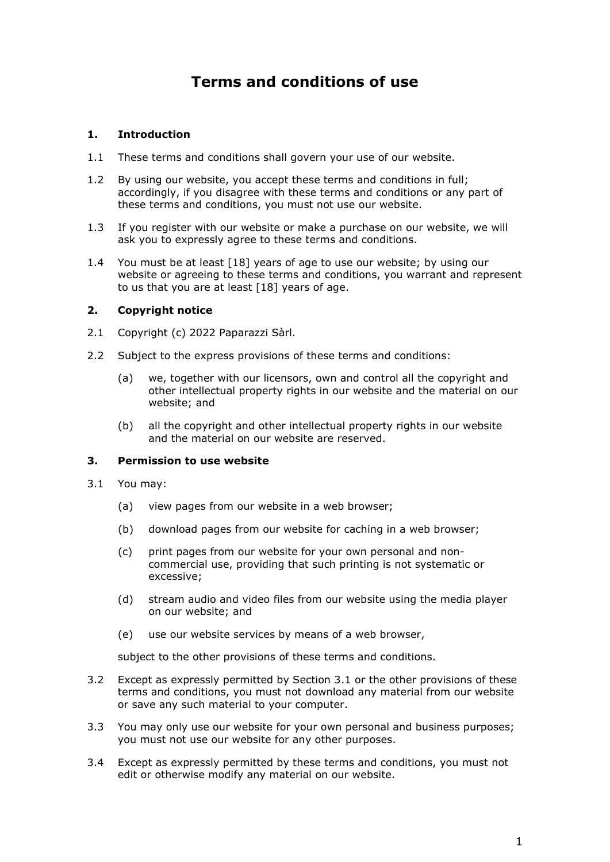# **Terms and conditions of use**

# **1. Introduction**

- 1.1 These terms and conditions shall govern your use of our website.
- 1.2 By using our website, you accept these terms and conditions in full; accordingly, if you disagree with these terms and conditions or any part of these terms and conditions, you must not use our website.
- 1.3 If you register with our website or make a purchase on our website, we will ask you to expressly agree to these terms and conditions.
- 1.4 You must be at least [18] years of age to use our website; by using our website or agreeing to these terms and conditions, you warrant and represent to us that you are at least [18] years of age.

# **2. Copyright notice**

- 2.1 Copyright (c) 2022 Paparazzi Sàrl.
- 2.2 Subject to the express provisions of these terms and conditions:
	- (a) we, together with our licensors, own and control all the copyright and other intellectual property rights in our website and the material on our website; and
	- (b) all the copyright and other intellectual property rights in our website and the material on our website are reserved.

# **3. Permission to use website**

- 3.1 You may:
	- (a) view pages from our website in a web browser;
	- (b) download pages from our website for caching in a web browser;
	- (c) print pages from our website for your own personal and noncommercial use, providing that such printing is not systematic or excessive;
	- (d) stream audio and video files from our website using the media player on our website; and
	- (e) use our website services by means of a web browser,

subject to the other provisions of these terms and conditions.

- 3.2 Except as expressly permitted by Section 3.1 or the other provisions of these terms and conditions, you must not download any material from our website or save any such material to your computer.
- 3.3 You may only use our website for your own personal and business purposes; you must not use our website for any other purposes.
- 3.4 Except as expressly permitted by these terms and conditions, you must not edit or otherwise modify any material on our website.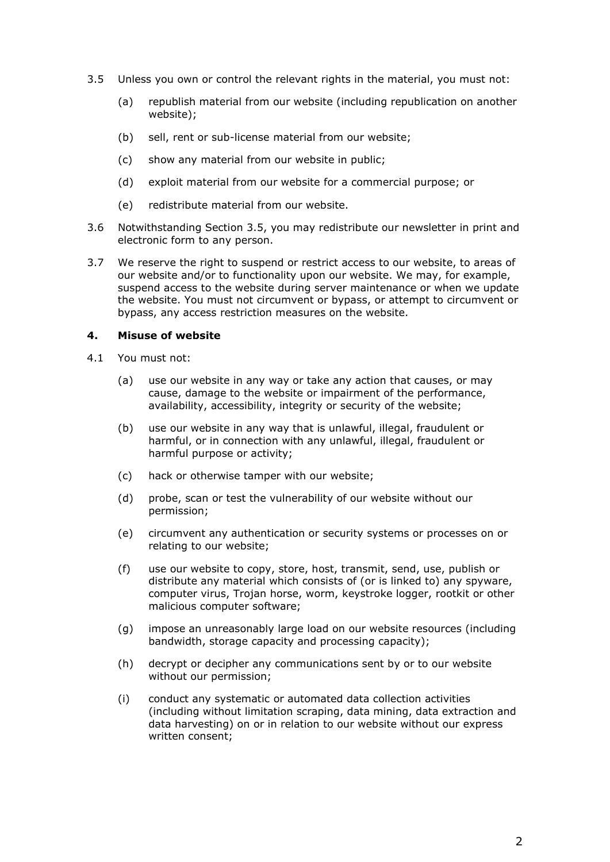- 3.5 Unless you own or control the relevant rights in the material, you must not:
	- (a) republish material from our website (including republication on another website);
	- (b) sell, rent or sub-license material from our website;
	- (c) show any material from our website in public;
	- (d) exploit material from our website for a commercial purpose; or
	- (e) redistribute material from our website.
- 3.6 Notwithstanding Section 3.5, you may redistribute our newsletter in print and electronic form to any person.
- 3.7 We reserve the right to suspend or restrict access to our website, to areas of our website and/or to functionality upon our website. We may, for example, suspend access to the website during server maintenance or when we update the website. You must not circumvent or bypass, or attempt to circumvent or bypass, any access restriction measures on the website.

## **4. Misuse of website**

- 4.1 You must not:
	- (a) use our website in any way or take any action that causes, or may cause, damage to the website or impairment of the performance, availability, accessibility, integrity or security of the website;
	- (b) use our website in any way that is unlawful, illegal, fraudulent or harmful, or in connection with any unlawful, illegal, fraudulent or harmful purpose or activity;
	- (c) hack or otherwise tamper with our website;
	- (d) probe, scan or test the vulnerability of our website without our permission;
	- (e) circumvent any authentication or security systems or processes on or relating to our website;
	- (f) use our website to copy, store, host, transmit, send, use, publish or distribute any material which consists of (or is linked to) any spyware, computer virus, Trojan horse, worm, keystroke logger, rootkit or other malicious computer software;
	- (g) impose an unreasonably large load on our website resources (including bandwidth, storage capacity and processing capacity);
	- (h) decrypt or decipher any communications sent by or to our website without our permission;
	- (i) conduct any systematic or automated data collection activities (including without limitation scraping, data mining, data extraction and data harvesting) on or in relation to our website without our express written consent;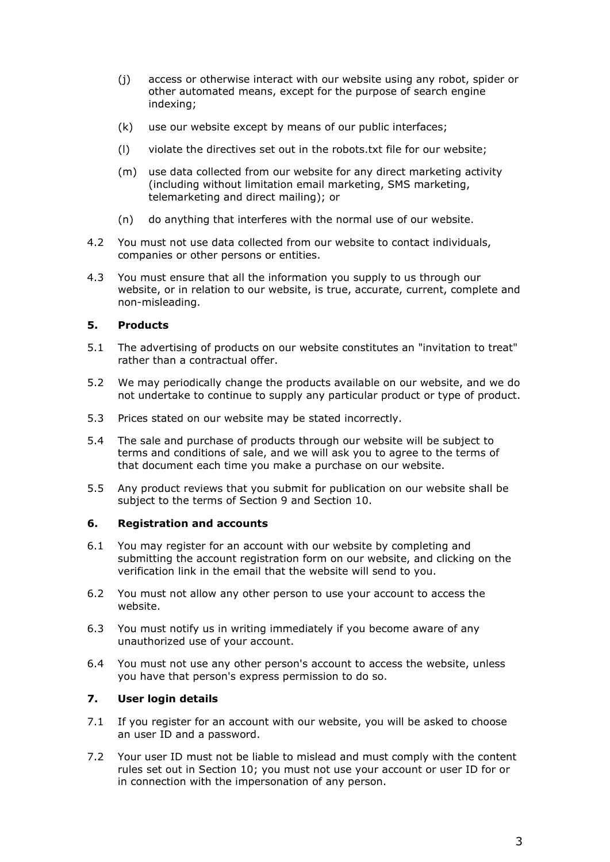- (j) access or otherwise interact with our website using any robot, spider or other automated means, except for the purpose of search engine indexing;
- (k) use our website except by means of our public interfaces;
- (l) violate the directives set out in the robots.txt file for our website;
- (m) use data collected from our website for any direct marketing activity (including without limitation email marketing, SMS marketing, telemarketing and direct mailing); or
- (n) do anything that interferes with the normal use of our website.
- 4.2 You must not use data collected from our website to contact individuals, companies or other persons or entities.
- 4.3 You must ensure that all the information you supply to us through our website, or in relation to our website, is true, accurate, current, complete and non-misleading.

# **5. Products**

- 5.1 The advertising of products on our website constitutes an "invitation to treat" rather than a contractual offer.
- 5.2 We may periodically change the products available on our website, and we do not undertake to continue to supply any particular product or type of product.
- 5.3 Prices stated on our website may be stated incorrectly.
- 5.4 The sale and purchase of products through our website will be subject to terms and conditions of sale, and we will ask you to agree to the terms of that document each time you make a purchase on our website.
- 5.5 Any product reviews that you submit for publication on our website shall be subject to the terms of Section 9 and Section 10.

# **6. Registration and accounts**

- 6.1 You may register for an account with our website by completing and submitting the account registration form on our website, and clicking on the verification link in the email that the website will send to you.
- 6.2 You must not allow any other person to use your account to access the website.
- 6.3 You must notify us in writing immediately if you become aware of any unauthorized use of your account.
- 6.4 You must not use any other person's account to access the website, unless you have that person's express permission to do so.

# **7. User login details**

- 7.1 If you register for an account with our website, you will be asked to choose an user ID and a password.
- 7.2 Your user ID must not be liable to mislead and must comply with the content rules set out in Section 10; you must not use your account or user ID for or in connection with the impersonation of any person.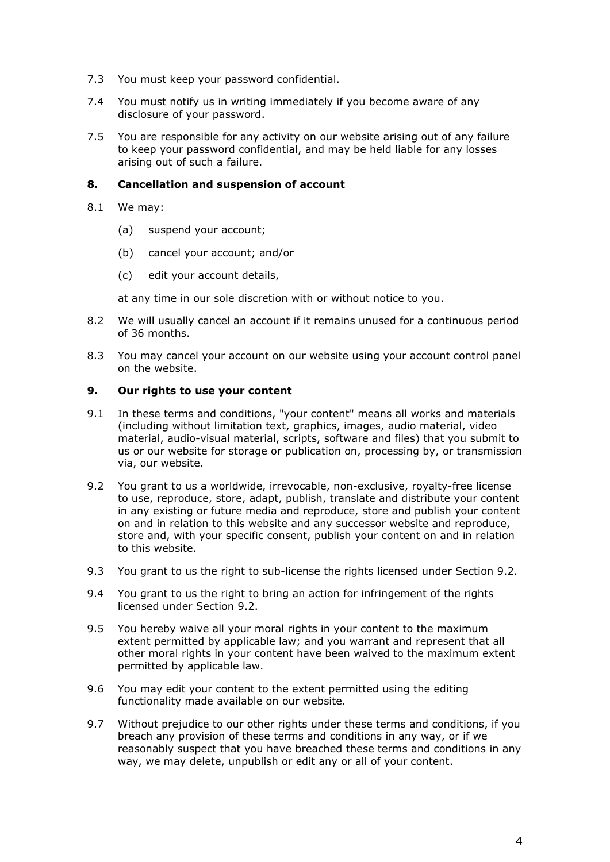- 7.3 You must keep your password confidential.
- 7.4 You must notify us in writing immediately if you become aware of any disclosure of your password.
- 7.5 You are responsible for any activity on our website arising out of any failure to keep your password confidential, and may be held liable for any losses arising out of such a failure.

### **8. Cancellation and suspension of account**

- 8.1 We may:
	- (a) suspend your account;
	- (b) cancel your account; and/or
	- (c) edit your account details,

at any time in our sole discretion with or without notice to you.

- 8.2 We will usually cancel an account if it remains unused for a continuous period of 36 months.
- 8.3 You may cancel your account on our website using your account control panel on the website.

#### **9. Our rights to use your content**

- 9.1 In these terms and conditions, "your content" means all works and materials (including without limitation text, graphics, images, audio material, video material, audio-visual material, scripts, software and files) that you submit to us or our website for storage or publication on, processing by, or transmission via, our website.
- 9.2 You grant to us a worldwide, irrevocable, non-exclusive, royalty-free license to use, reproduce, store, adapt, publish, translate and distribute your content in any existing or future media and reproduce, store and publish your content on and in relation to this website and any successor website and reproduce, store and, with your specific consent, publish your content on and in relation to this website.
- 9.3 You grant to us the right to sub-license the rights licensed under Section 9.2.
- 9.4 You grant to us the right to bring an action for infringement of the rights licensed under Section 9.2.
- 9.5 You hereby waive all your moral rights in your content to the maximum extent permitted by applicable law; and you warrant and represent that all other moral rights in your content have been waived to the maximum extent permitted by applicable law.
- 9.6 You may edit your content to the extent permitted using the editing functionality made available on our website.
- 9.7 Without prejudice to our other rights under these terms and conditions, if you breach any provision of these terms and conditions in any way, or if we reasonably suspect that you have breached these terms and conditions in any way, we may delete, unpublish or edit any or all of your content.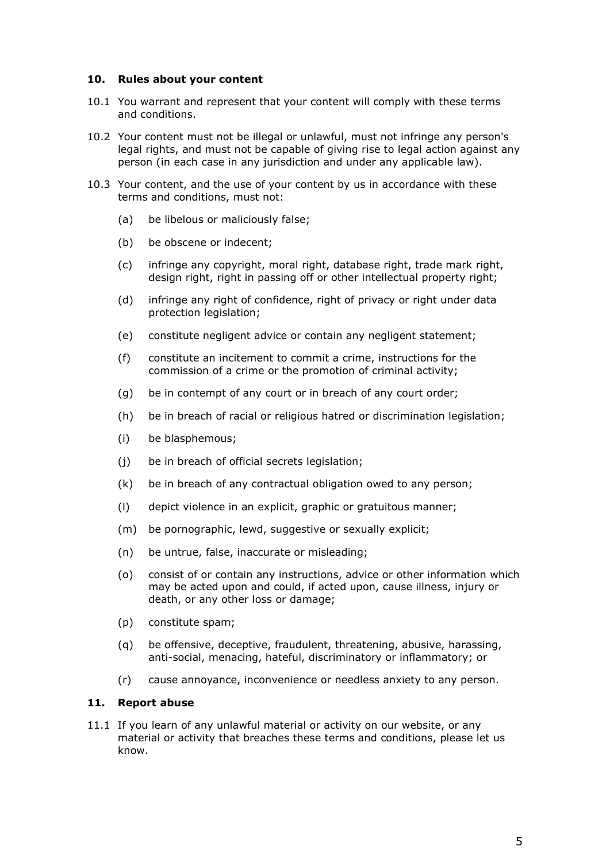## **10. Rules about your content**

- 10.1 You warrant and represent that your content will comply with these terms and conditions.
- 10.2 Your content must not be illegal or unlawful, must not infringe any person's legal rights, and must not be capable of giving rise to legal action against any person (in each case in any jurisdiction and under any applicable law).
- 10.3 Your content, and the use of your content by us in accordance with these terms and conditions, must not:
	- (a) be libelous or maliciously false;
	- (b) be obscene or indecent;
	- (c) infringe any copyright, moral right, database right, trade mark right, design right, right in passing off or other intellectual property right;
	- (d) infringe any right of confidence, right of privacy or right under data protection legislation;
	- (e) constitute negligent advice or contain any negligent statement;
	- (f) constitute an incitement to commit a crime, instructions for the commission of a crime or the promotion of criminal activity;
	- (g) be in contempt of any court or in breach of any court order;
	- (h) be in breach of racial or religious hatred or discrimination legislation;
	- (i) be blasphemous;
	- (j) be in breach of official secrets legislation;
	- (k) be in breach of any contractual obligation owed to any person;
	- (l) depict violence in an explicit, graphic or gratuitous manner;
	- (m) be pornographic, lewd, suggestive or sexually explicit;
	- (n) be untrue, false, inaccurate or misleading;
	- (o) consist of or contain any instructions, advice or other information which may be acted upon and could, if acted upon, cause illness, injury or death, or any other loss or damage;
	- (p) constitute spam;
	- (q) be offensive, deceptive, fraudulent, threatening, abusive, harassing, anti-social, menacing, hateful, discriminatory or inflammatory; or
	- (r) cause annoyance, inconvenience or needless anxiety to any person.

## **11. Report abuse**

11.1 If you learn of any unlawful material or activity on our website, or any material or activity that breaches these terms and conditions, please let us know.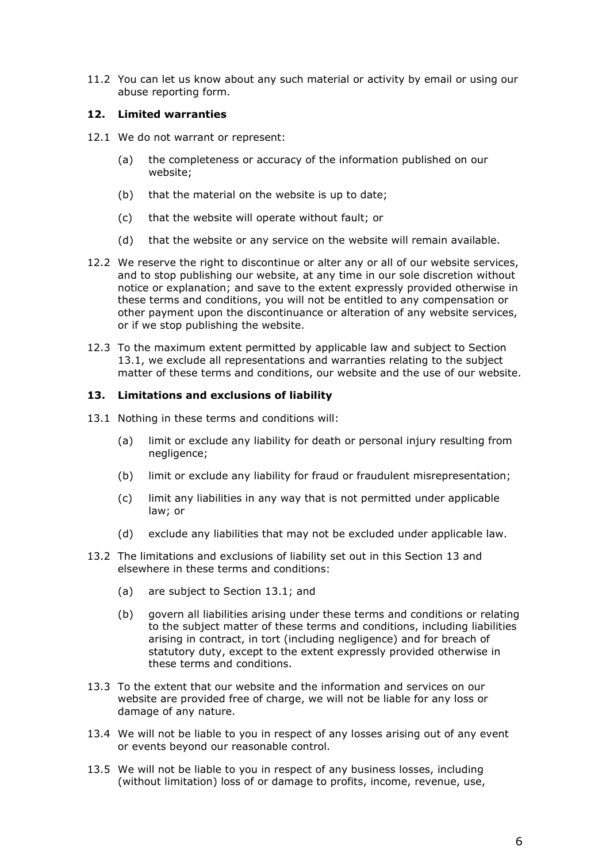11.2 You can let us know about any such material or activity by email or using our abuse reporting form.

## **12. Limited warranties**

- 12.1 We do not warrant or represent:
	- (a) the completeness or accuracy of the information published on our website;
	- (b) that the material on the website is up to date;
	- (c) that the website will operate without fault; or
	- (d) that the website or any service on the website will remain available.
- 12.2 We reserve the right to discontinue or alter any or all of our website services, and to stop publishing our website, at any time in our sole discretion without notice or explanation; and save to the extent expressly provided otherwise in these terms and conditions, you will not be entitled to any compensation or other payment upon the discontinuance or alteration of any website services, or if we stop publishing the website.
- 12.3 To the maximum extent permitted by applicable law and subject to Section 13.1, we exclude all representations and warranties relating to the subject matter of these terms and conditions, our website and the use of our website.

#### **13. Limitations and exclusions of liability**

- 13.1 Nothing in these terms and conditions will:
	- (a) limit or exclude any liability for death or personal injury resulting from negligence;
	- (b) limit or exclude any liability for fraud or fraudulent misrepresentation;
	- (c) limit any liabilities in any way that is not permitted under applicable law; or
	- (d) exclude any liabilities that may not be excluded under applicable law.
- 13.2 The limitations and exclusions of liability set out in this Section 13 and elsewhere in these terms and conditions:
	- (a) are subject to Section 13.1; and
	- (b) govern all liabilities arising under these terms and conditions or relating to the subject matter of these terms and conditions, including liabilities arising in contract, in tort (including negligence) and for breach of statutory duty, except to the extent expressly provided otherwise in these terms and conditions.
- 13.3 To the extent that our website and the information and services on our website are provided free of charge, we will not be liable for any loss or damage of any nature.
- 13.4 We will not be liable to you in respect of any losses arising out of any event or events beyond our reasonable control.
- 13.5 We will not be liable to you in respect of any business losses, including (without limitation) loss of or damage to profits, income, revenue, use,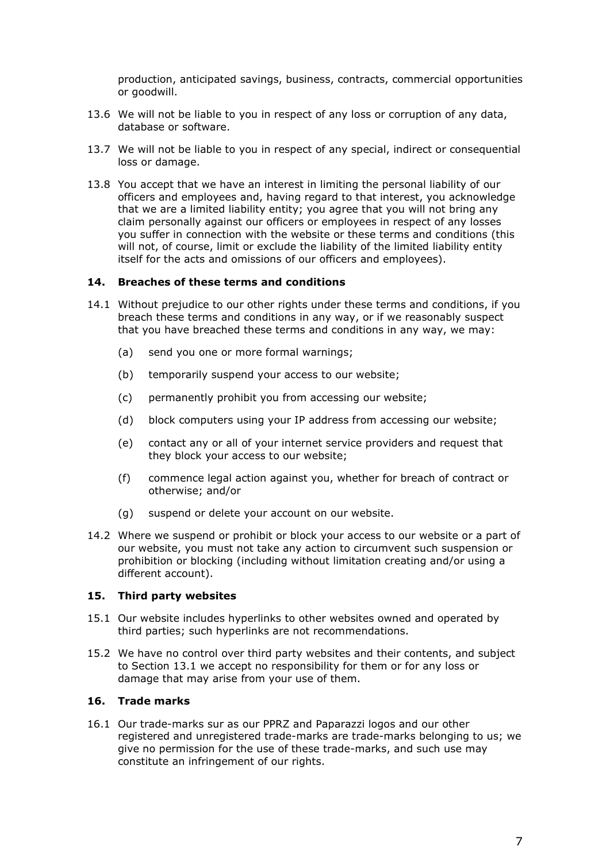production, anticipated savings, business, contracts, commercial opportunities or goodwill.

- 13.6 We will not be liable to you in respect of any loss or corruption of any data, database or software.
- 13.7 We will not be liable to you in respect of any special, indirect or consequential loss or damage.
- 13.8 You accept that we have an interest in limiting the personal liability of our officers and employees and, having regard to that interest, you acknowledge that we are a limited liability entity; you agree that you will not bring any claim personally against our officers or employees in respect of any losses you suffer in connection with the website or these terms and conditions (this will not, of course, limit or exclude the liability of the limited liability entity itself for the acts and omissions of our officers and employees).

#### **14. Breaches of these terms and conditions**

- 14.1 Without prejudice to our other rights under these terms and conditions, if you breach these terms and conditions in any way, or if we reasonably suspect that you have breached these terms and conditions in any way, we may:
	- (a) send you one or more formal warnings;
	- (b) temporarily suspend your access to our website;
	- (c) permanently prohibit you from accessing our website;
	- (d) block computers using your IP address from accessing our website;
	- (e) contact any or all of your internet service providers and request that they block your access to our website;
	- (f) commence legal action against you, whether for breach of contract or otherwise; and/or
	- (g) suspend or delete your account on our website.
- 14.2 Where we suspend or prohibit or block your access to our website or a part of our website, you must not take any action to circumvent such suspension or prohibition or blocking (including without limitation creating and/or using a different account).

#### **15. Third party websites**

- 15.1 Our website includes hyperlinks to other websites owned and operated by third parties; such hyperlinks are not recommendations.
- 15.2 We have no control over third party websites and their contents, and subject to Section 13.1 we accept no responsibility for them or for any loss or damage that may arise from your use of them.

# **16. Trade marks**

16.1 Our trade-marks sur as our PPRZ and Paparazzi logos and our other registered and unregistered trade-marks are trade-marks belonging to us; we give no permission for the use of these trade-marks, and such use may constitute an infringement of our rights.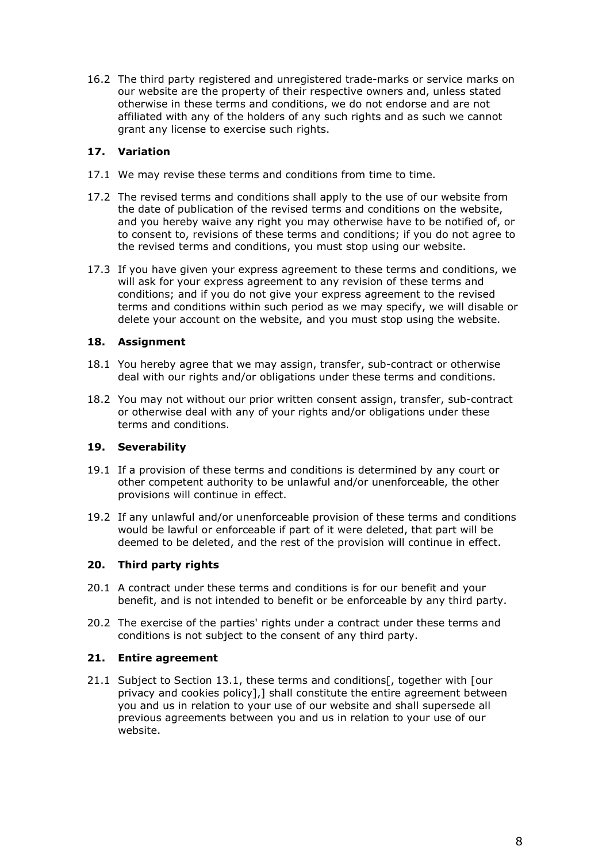16.2 The third party registered and unregistered trade-marks or service marks on our website are the property of their respective owners and, unless stated otherwise in these terms and conditions, we do not endorse and are not affiliated with any of the holders of any such rights and as such we cannot grant any license to exercise such rights.

# **17. Variation**

- 17.1 We may revise these terms and conditions from time to time.
- 17.2 The revised terms and conditions shall apply to the use of our website from the date of publication of the revised terms and conditions on the website, and you hereby waive any right you may otherwise have to be notified of, or to consent to, revisions of these terms and conditions; if you do not agree to the revised terms and conditions, you must stop using our website.
- 17.3 If you have given your express agreement to these terms and conditions, we will ask for your express agreement to any revision of these terms and conditions; and if you do not give your express agreement to the revised terms and conditions within such period as we may specify, we will disable or delete your account on the website, and you must stop using the website.

# **18. Assignment**

- 18.1 You hereby agree that we may assign, transfer, sub-contract or otherwise deal with our rights and/or obligations under these terms and conditions.
- 18.2 You may not without our prior written consent assign, transfer, sub-contract or otherwise deal with any of your rights and/or obligations under these terms and conditions.

# **19. Severability**

- 19.1 If a provision of these terms and conditions is determined by any court or other competent authority to be unlawful and/or unenforceable, the other provisions will continue in effect.
- 19.2 If any unlawful and/or unenforceable provision of these terms and conditions would be lawful or enforceable if part of it were deleted, that part will be deemed to be deleted, and the rest of the provision will continue in effect.

# **20. Third party rights**

- 20.1 A contract under these terms and conditions is for our benefit and your benefit, and is not intended to benefit or be enforceable by any third party.
- 20.2 The exercise of the parties' rights under a contract under these terms and conditions is not subject to the consent of any third party.

# **21. Entire agreement**

21.1 Subject to Section 13.1, these terms and conditions[, together with [our privacy and cookies policy],] shall constitute the entire agreement between you and us in relation to your use of our website and shall supersede all previous agreements between you and us in relation to your use of our website.